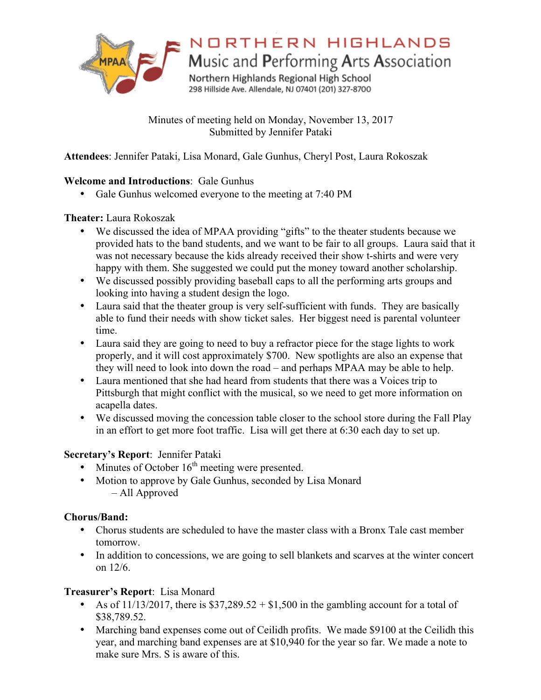

NORTHERN HIGHLANDS

Music and Performing Arts Association

Northern Highlands Regional High School 298 Hillside Ave. Allendale, NJ 07401 (201) 327-8700

Minutes of meeting held on Monday, November 13, 2017 Submitted by Jennifer Pataki

**Attendees**: Jennifer Pataki, Lisa Monard, Gale Gunhus, Cheryl Post, Laura Rokoszak

# **Welcome and Introductions**: Gale Gunhus

• Gale Gunhus welcomed everyone to the meeting at 7:40 PM

### **Theater:** Laura Rokoszak

- We discussed the idea of MPAA providing "gifts" to the theater students because we provided hats to the band students, and we want to be fair to all groups. Laura said that it was not necessary because the kids already received their show t-shirts and were very happy with them. She suggested we could put the money toward another scholarship.
- We discussed possibly providing baseball caps to all the performing arts groups and looking into having a student design the logo.
- Laura said that the theater group is very self-sufficient with funds. They are basically able to fund their needs with show ticket sales. Her biggest need is parental volunteer time.
- Laura said they are going to need to buy a refractor piece for the stage lights to work properly, and it will cost approximately \$700. New spotlights are also an expense that they will need to look into down the road – and perhaps MPAA may be able to help.
- Laura mentioned that she had heard from students that there was a Voices trip to Pittsburgh that might conflict with the musical, so we need to get more information on acapella dates.
- We discussed moving the concession table closer to the school store during the Fall Play in an effort to get more foot traffic. Lisa will get there at 6:30 each day to set up.

### **Secretary's Report**: Jennifer Pataki

- Minutes of October  $16<sup>th</sup>$  meeting were presented.
- Motion to approve by Gale Gunhus, seconded by Lisa Monard – All Approved

# **Chorus/Band:**

- Chorus students are scheduled to have the master class with a Bronx Tale cast member tomorrow.
- In addition to concessions, we are going to sell blankets and scarves at the winter concert on 12/6.

# **Treasurer's Report**: Lisa Monard

- As of  $11/13/2017$ , there is \$37,289.52 + \$1,500 in the gambling account for a total of \$38,789.52.
- Marching band expenses come out of Ceilidh profits. We made \$9100 at the Ceilidh this year, and marching band expenses are at \$10,940 for the year so far. We made a note to make sure Mrs. S is aware of this.